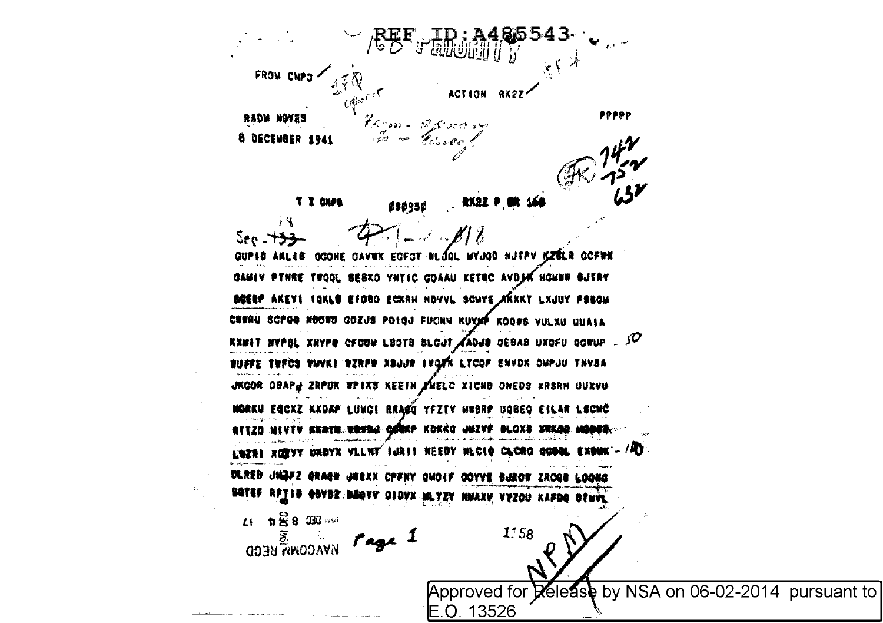